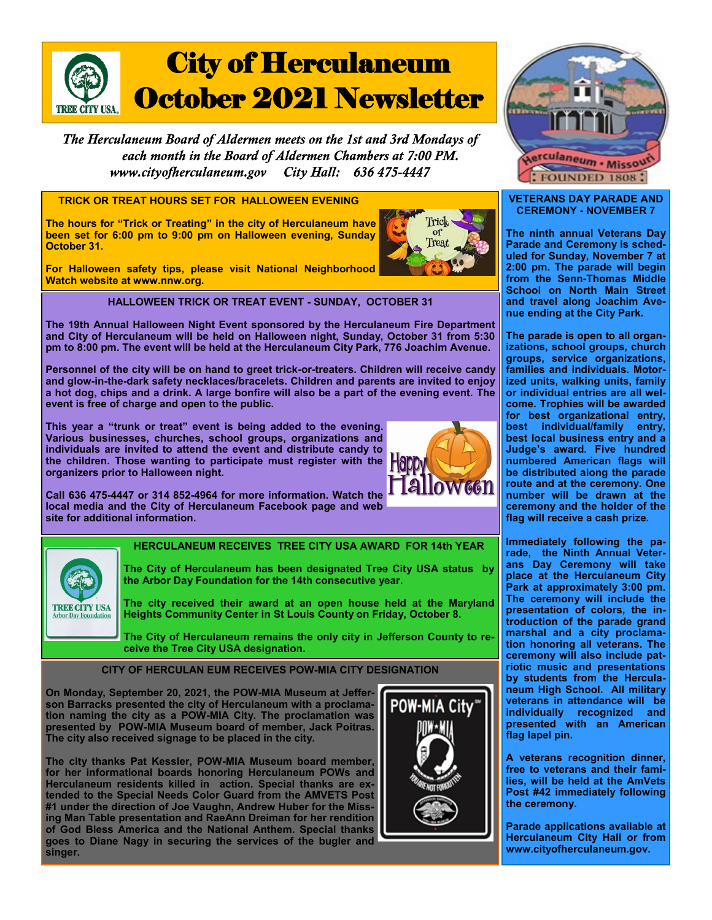

The Herculaneum Board of Aldermen meets on the 1st and 3rd Mondays of each month in the Board of Aldermen Chambers at 7:00 PM. www.cityofherculaneum.gov City Hall: 636 475-4447

**TRICK OR TREAT HOURS SET FOR HALLOWEEN EVENING** 

**The hours for "Trick or Treating" in the city of Herculaneum have been set for 6:00 pm to 9:00 pm on Halloween evening, Sunday October 31.**

**For Halloween safety tips, please visit National Neighborhood Watch website at www.nnw.org.**

**HALLOWEEN TRICK OR TREAT EVENT - SUNDAY, OCTOBER 31**

**The 19th Annual Halloween Night Event sponsored by the Herculaneum Fire Department and City of Herculaneum will be held on Halloween night, Sunday, October 31 from 5:30 pm to 8:00 pm. The event will be held at the Herculaneum City Park, 776 Joachim Avenue.**

**Personnel of the city will be on hand to greet trick-or-treaters. Children will receive candy and glow-in-the-dark safety necklaces/bracelets. Children and parents are invited to enjoy a hot dog, chips and a drink. A large bonfire will also be a part of the evening event. The event is free of charge and open to the public.** 

**This year a "trunk or treat" event is being added to the evening. Various businesses, churches, school groups, organizations and individuals are invited to attend the event and distribute candy to the children. Those wanting to participate must register with the organizers prior to Halloween night.**



**Call 636 475-4447 or 314 852-4964 for more information. Watch the local media and the City of Herculaneum Facebook page and web site for additional information.**



**HERCULANEUM RECEIVES TREE CITY USA AWARD FOR 14th YEAR**

**The City of Herculaneum has been designated Tree City USA status by the Arbor Day Foundation for the 14th consecutive year.**

**The city received their award at an open house held at the Maryland Heights Community Center in St Louis County on Friday, October 8.**

**The City of Herculaneum remains the only city in Jefferson County to receive the Tree City USA designation.**

**CITY OF HERCULAN EUM RECEIVES POW-MIA CITY DESIGNATION**

**On Monday, September 20, 2021, the POW-MIA Museum at Jefferson Barracks presented the city of Herculaneum with a proclamation naming the city as a POW-MIA City. The proclamation was presented by POW-MIA Museum board of member, Jack Poitras. The city also received signage to be placed in the city.**

**The city thanks Pat Kessler, POW-MIA Museum board member, for her informational boards honoring Herculaneum POWs and Herculaneum residents killed in action. Special thanks are extended to the Special Needs Color Guard from the AMVETS Post #1 under the direction of Joe Vaughn, Andrew Huber for the Missing Man Table presentation and RaeAnn Dreiman for her rendition of God Bless America and the National Anthem. Special thanks goes to Diane Nagy in securing the services of the bugler and singer.**





## **VETERANS DAY PARADE AND CEREMONY - NOVEMBER 7**

**The ninth annual Veterans Day Parade and Ceremony is scheduled for Sunday, November 7 at 2:00 pm. The parade will begin from the Senn-Thomas Middle School on North Main Street and travel along Joachim Avenue ending at the City Park.**

**The parade is open to all organizations, school groups, church groups, service organizations, families and individuals. Motorized units, walking units, family or individual entries are all welcome. Trophies will be awarded for best organizational entry, best individual/family entry, best local business entry and a Judge's award. Five hundred numbered American flags will be distributed along the parade route and at the ceremony. One number will be drawn at the ceremony and the holder of the flag will receive a cash prize.**

**Immediately following the parade, the Ninth Annual Veterans Day Ceremony will take place at the Herculaneum City Park at approximately 3:00 pm. The ceremony will include the presentation of colors, the introduction of the parade grand marshal and a city proclamation honoring all veterans. The ceremony will also include patriotic music and presentations by students from the Herculaneum High School. All military veterans in attendance will be individually recognized and presented with an American flag lapel pin.** 

**A veterans recognition dinner, free to veterans and their families, will be held at the AmVets Post #42 immediately following the ceremony.**

**Parade applications available at Herculaneum City Hall or from www.cityofherculaneum.gov.**